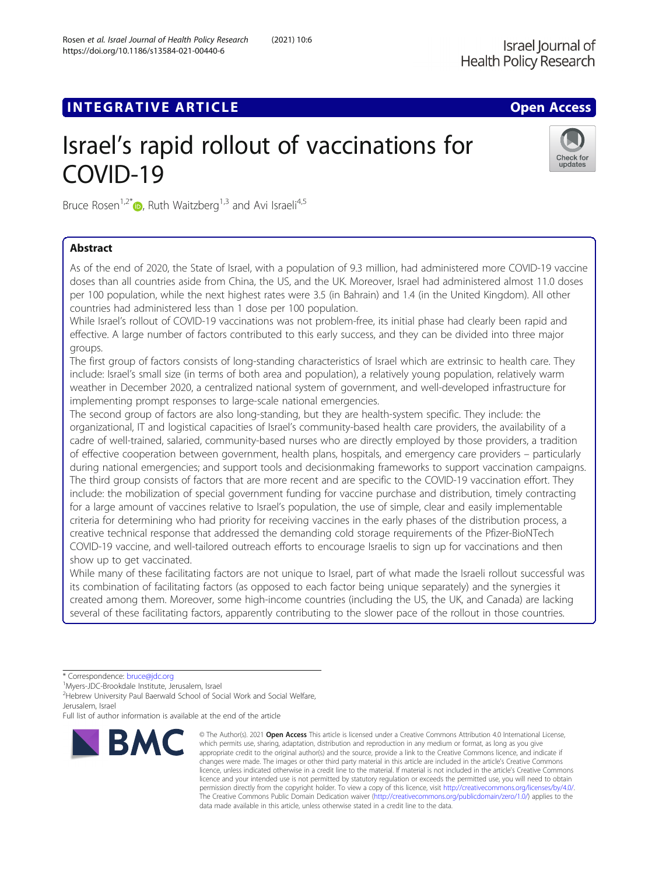# **INTEGRATIVE ARTICLE Example 20 and 20 and 20 and 20 and 20 and 20 and 20 and 20 and 20 and 20 and 20 and 20 and 20 and 20 and 20 and 20 and 20 and 20 and 20 and 20 and 20 and 20 and 20 and 20 and 20 and 20 and 20 and 20**

# Israel's rapid rollout of vaccinations for COVID-19



Bruce Rosen<sup>1[,](http://orcid.org/0000-0002-0957-5084)2\*</sup> $\bullet$ , Ruth Waitzberg<sup>1,3</sup> and Avi Israeli<sup>4,5</sup>

# Abstract

As of the end of 2020, the State of Israel, with a population of 9.3 million, had administered more COVID-19 vaccine doses than all countries aside from China, the US, and the UK. Moreover, Israel had administered almost 11.0 doses per 100 population, while the next highest rates were 3.5 (in Bahrain) and 1.4 (in the United Kingdom). All other countries had administered less than 1 dose per 100 population.

While Israel's rollout of COVID-19 vaccinations was not problem-free, its initial phase had clearly been rapid and effective. A large number of factors contributed to this early success, and they can be divided into three major groups.

The first group of factors consists of long-standing characteristics of Israel which are extrinsic to health care. They include: Israel's small size (in terms of both area and population), a relatively young population, relatively warm weather in December 2020, a centralized national system of government, and well-developed infrastructure for implementing prompt responses to large-scale national emergencies.

The second group of factors are also long-standing, but they are health-system specific. They include: the organizational, IT and logistical capacities of Israel's community-based health care providers, the availability of a cadre of well-trained, salaried, community-based nurses who are directly employed by those providers, a tradition of effective cooperation between government, health plans, hospitals, and emergency care providers – particularly during national emergencies; and support tools and decisionmaking frameworks to support vaccination campaigns. The third group consists of factors that are more recent and are specific to the COVID-19 vaccination effort. They include: the mobilization of special government funding for vaccine purchase and distribution, timely contracting for a large amount of vaccines relative to Israel's population, the use of simple, clear and easily implementable criteria for determining who had priority for receiving vaccines in the early phases of the distribution process, a creative technical response that addressed the demanding cold storage requirements of the Pfizer-BioNTech COVID-19 vaccine, and well-tailored outreach efforts to encourage Israelis to sign up for vaccinations and then show up to get vaccinated.

While many of these facilitating factors are not unique to Israel, part of what made the Israeli rollout successful was its combination of facilitating factors (as opposed to each factor being unique separately) and the synergies it created among them. Moreover, some high-income countries (including the US, the UK, and Canada) are lacking several of these facilitating factors, apparently contributing to the slower pace of the rollout in those countries.

<sup>1</sup>Myers-JDC-Brookdale Institute, Jerusalem, Israel

<sup>2</sup> Hebrew University Paul Baerwald School of Social Work and Social Welfare, Jerusalem, Israel

Full list of author information is available at the end of the article



<sup>©</sup> The Author(s), 2021 **Open Access** This article is licensed under a Creative Commons Attribution 4.0 International License, which permits use, sharing, adaptation, distribution and reproduction in any medium or format, as long as you give appropriate credit to the original author(s) and the source, provide a link to the Creative Commons licence, and indicate if changes were made. The images or other third party material in this article are included in the article's Creative Commons licence, unless indicated otherwise in a credit line to the material. If material is not included in the article's Creative Commons licence and your intended use is not permitted by statutory regulation or exceeds the permitted use, you will need to obtain permission directly from the copyright holder. To view a copy of this licence, visit [http://creativecommons.org/licenses/by/4.0/.](http://creativecommons.org/licenses/by/4.0/) The Creative Commons Public Domain Dedication waiver [\(http://creativecommons.org/publicdomain/zero/1.0/](http://creativecommons.org/publicdomain/zero/1.0/)) applies to the data made available in this article, unless otherwise stated in a credit line to the data.

<sup>\*</sup> Correspondence: [bruce@jdc.org](mailto:bruce@jdc.org) <sup>1</sup>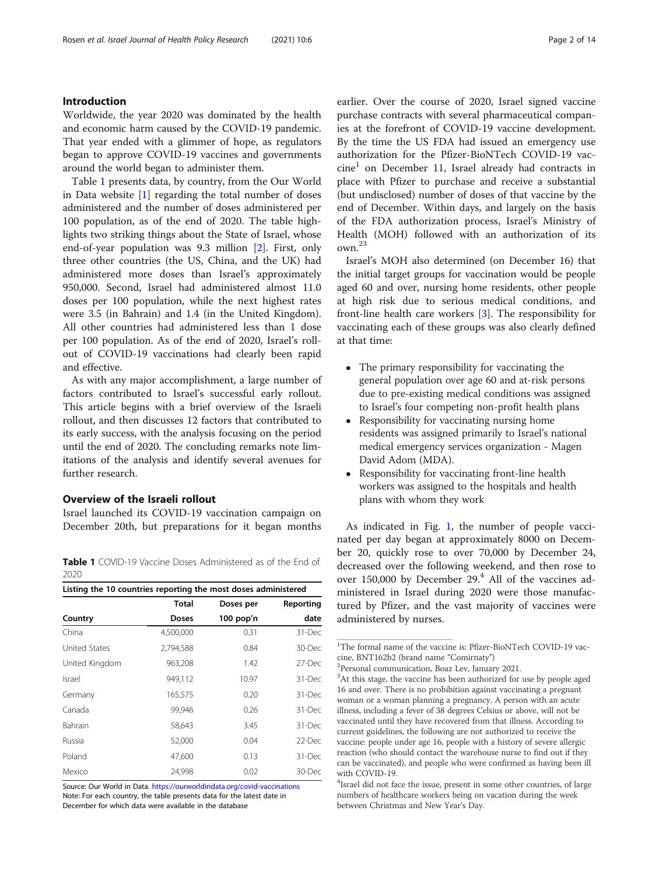# Introduction

Worldwide, the year 2020 was dominated by the health and economic harm caused by the COVID-19 pandemic. That year ended with a glimmer of hope, as regulators began to approve COVID-19 vaccines and governments around the world began to administer them.

Table 1 presents data, by country, from the Our World in Data website [\[1](#page-12-0)] regarding the total number of doses administered and the number of doses administered per 100 population, as of the end of 2020. The table highlights two striking things about the State of Israel, whose end-of-year population was 9.3 million [\[2](#page-12-0)]. First, only three other countries (the US, China, and the UK) had administered more doses than Israel's approximately 950,000. Second, Israel had administered almost 11.0 doses per 100 population, while the next highest rates were 3.5 (in Bahrain) and 1.4 (in the United Kingdom). All other countries had administered less than 1 dose per 100 population. As of the end of 2020, Israel's rollout of COVID-19 vaccinations had clearly been rapid and effective.

As with any major accomplishment, a large number of factors contributed to Israel's successful early rollout. This article begins with a brief overview of the Israeli rollout, and then discusses 12 factors that contributed to its early success, with the analysis focusing on the period until the end of 2020. The concluding remarks note limitations of the analysis and identify several avenues for further research.

# Overview of the Israeli rollout

Israel launched its COVID-19 vaccination campaign on December 20th, but preparations for it began months

Table 1 COVID-19 Vaccine Doses Administered as of the End of 2020

| Listing the 10 countries reporting the most doses administered |              |             |           |
|----------------------------------------------------------------|--------------|-------------|-----------|
|                                                                | <b>Total</b> | Doses per   | Reporting |
| Country                                                        | Doses        | $100$ pop'n | date      |
| China                                                          | 4,500,000    | 0.31        | 31-Dec    |
| United States                                                  | 2,794,588    | 0.84        | 30-Dec    |
| United Kingdom                                                 | 963,208      | 1.42        | 27-Dec    |
| <b>Israel</b>                                                  | 949,112      | 10.97       | 31-Dec    |
| Germany                                                        | 165,575      | 0.20        | 31-Dec    |
| Canada                                                         | 99,946       | 0.26        | 31-Dec    |
| Bahrain                                                        | 58,643       | 3.45        | 31-Dec    |
| Russia                                                         | 52,000       | 0.04        | 22-Dec    |
| Poland                                                         | 47,600       | 0.13        | 31-Dec    |
| Mexico                                                         | 24,998       | 0.02        | 30-Dec    |

Source: Our World in Data. <https://ourworldindata.org/covid-vaccinations> Note: For each country, the table presents data for the latest date in December for which data were available in the database

earlier. Over the course of 2020, Israel signed vaccine purchase contracts with several pharmaceutical companies at the forefront of COVID-19 vaccine development. By the time the US FDA had issued an emergency use authorization for the Pfizer-BioNTech COVID-19 vac $cine<sup>1</sup>$  on December 11, Israel already had contracts in place with Pfizer to purchase and receive a substantial (but undisclosed) number of doses of that vaccine by the end of December. Within days, and largely on the basis of the FDA authorization process, Israel's Ministry of Health (MOH) followed with an authorization of its own.<sup>23</sup>

Israel's MOH also determined (on December 16) that the initial target groups for vaccination would be people aged 60 and over, nursing home residents, other people at high risk due to serious medical conditions, and front-line health care workers [\[3](#page-12-0)]. The responsibility for vaccinating each of these groups was also clearly defined at that time:

- The primary responsibility for vaccinating the general population over age 60 and at-risk persons due to pre-existing medical conditions was assigned to Israel's four competing non-profit health plans
- Responsibility for vaccinating nursing home residents was assigned primarily to Israel's national medical emergency services organization - Magen David Adom (MDA).
- Responsibility for vaccinating front-line health workers was assigned to the hospitals and health plans with whom they work

As indicated in Fig. [1,](#page-2-0) the number of people vaccinated per day began at approximately 8000 on December 20, quickly rose to over 70,000 by December 24, decreased over the following weekend, and then rose to over 150,000 by December  $29<sup>4</sup>$  All of the vaccines administered in Israel during 2020 were those manufactured by Pfizer, and the vast majority of vaccines were administered by nurses.

<sup>&</sup>lt;sup>1</sup>The formal name of the vaccine is: Pfizer-BioNTech COVID-19 vaccine, BNT162b2 (brand name "Comirnaty") <sup>2</sup>

<sup>&</sup>lt;sup>2</sup>Personal communication, Boaz Lev, January 2021.

<sup>&</sup>lt;sup>3</sup>At this stage, the vaccine has been authorized for use by people aged 16 and over. There is no prohibition against vaccinating a pregnant woman or a woman planning a pregnancy. A person with an acute illness, including a fever of 38 degrees Celsius or above, will not be vaccinated until they have recovered from that illness. According to current guidelines, the following are not authorized to receive the vaccine: people under age 16, people with a history of severe allergic reaction (who should contact the warehouse nurse to find out if they can be vaccinated), and people who were confirmed as having been ill with COVID-19.

<sup>&</sup>lt;sup>4</sup>Israel did not face the issue, present in some other countries, of large numbers of healthcare workers being on vacation during the week between Christmas and New Year's Day.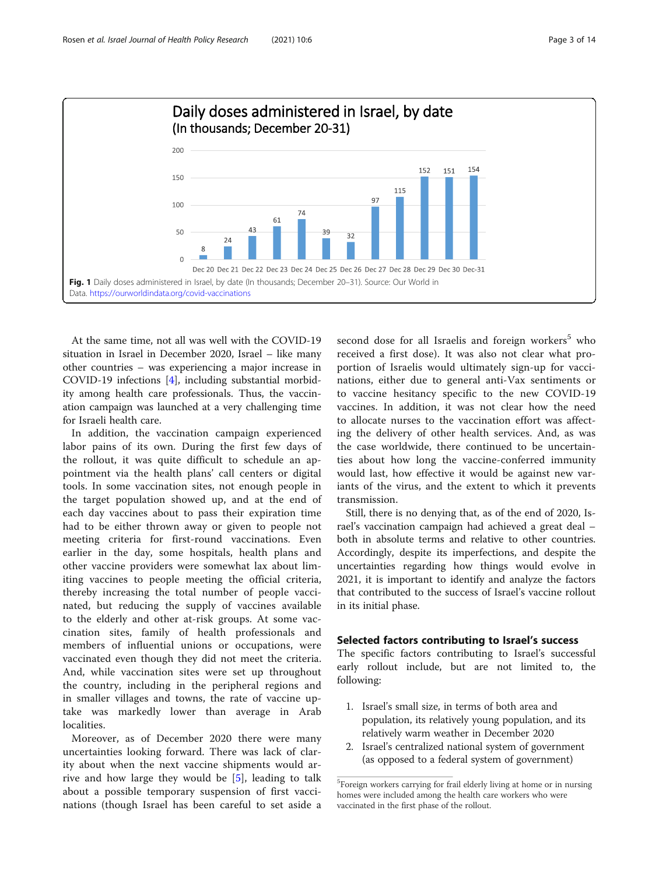<span id="page-2-0"></span>

At the same time, not all was well with the COVID-19 situation in Israel in December 2020, Israel – like many other countries – was experiencing a major increase in COVID-19 infections [[4\]](#page-12-0), including substantial morbidity among health care professionals. Thus, the vaccination campaign was launched at a very challenging time for Israeli health care.

In addition, the vaccination campaign experienced labor pains of its own. During the first few days of the rollout, it was quite difficult to schedule an appointment via the health plans' call centers or digital tools. In some vaccination sites, not enough people in the target population showed up, and at the end of each day vaccines about to pass their expiration time had to be either thrown away or given to people not meeting criteria for first-round vaccinations. Even earlier in the day, some hospitals, health plans and other vaccine providers were somewhat lax about limiting vaccines to people meeting the official criteria, thereby increasing the total number of people vaccinated, but reducing the supply of vaccines available to the elderly and other at-risk groups. At some vaccination sites, family of health professionals and members of influential unions or occupations, were vaccinated even though they did not meet the criteria. And, while vaccination sites were set up throughout the country, including in the peripheral regions and in smaller villages and towns, the rate of vaccine uptake was markedly lower than average in Arab localities.

Moreover, as of December 2020 there were many uncertainties looking forward. There was lack of clarity about when the next vaccine shipments would arrive and how large they would be [[5\]](#page-12-0), leading to talk about a possible temporary suspension of first vaccinations (though Israel has been careful to set aside a second dose for all Israelis and foreign workers<sup>5</sup> who received a first dose). It was also not clear what proportion of Israelis would ultimately sign-up for vaccinations, either due to general anti-Vax sentiments or to vaccine hesitancy specific to the new COVID-19 vaccines. In addition, it was not clear how the need to allocate nurses to the vaccination effort was affecting the delivery of other health services. And, as was the case worldwide, there continued to be uncertainties about how long the vaccine-conferred immunity would last, how effective it would be against new variants of the virus, and the extent to which it prevents transmission.

Still, there is no denying that, as of the end of 2020, Israel's vaccination campaign had achieved a great deal – both in absolute terms and relative to other countries. Accordingly, despite its imperfections, and despite the uncertainties regarding how things would evolve in 2021, it is important to identify and analyze the factors that contributed to the success of Israel's vaccine rollout in its initial phase.

# Selected factors contributing to Israel's success

The specific factors contributing to Israel's successful early rollout include, but are not limited to, the following:

- 1. Israel's small size, in terms of both area and population, its relatively young population, and its relatively warm weather in December 2020
- 2. Israel's centralized national system of government (as opposed to a federal system of government)

<sup>&</sup>lt;sup>5</sup>Foreign workers carrying for frail elderly living at home or in nursing homes were included among the health care workers who were vaccinated in the first phase of the rollout.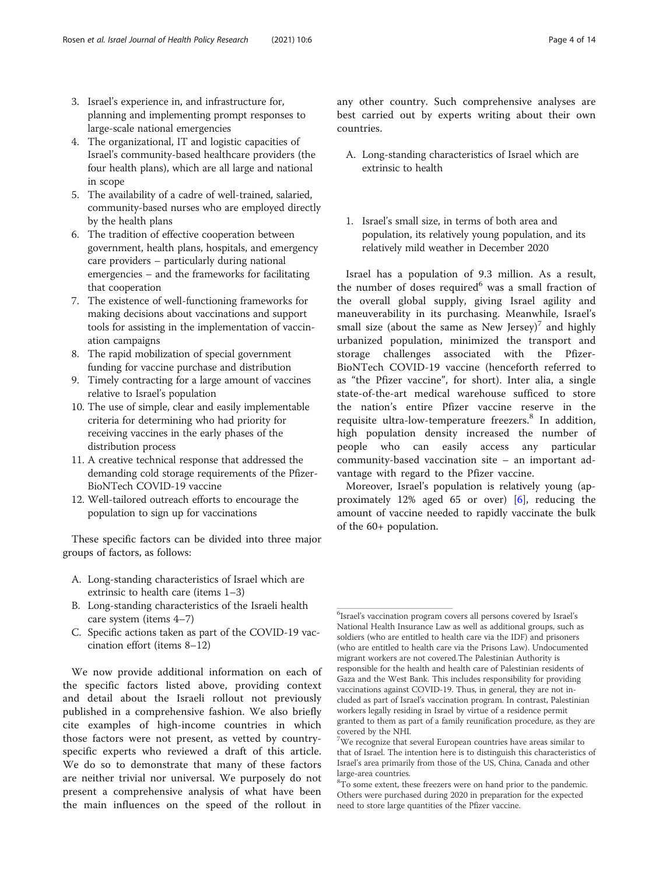- 3. Israel's experience in, and infrastructure for, planning and implementing prompt responses to large-scale national emergencies
- 4. The organizational, IT and logistic capacities of Israel's community-based healthcare providers (the four health plans), which are all large and national in scope
- 5. The availability of a cadre of well-trained, salaried, community-based nurses who are employed directly by the health plans
- 6. The tradition of effective cooperation between government, health plans, hospitals, and emergency care providers – particularly during national emergencies – and the frameworks for facilitating that cooperation
- 7. The existence of well-functioning frameworks for making decisions about vaccinations and support tools for assisting in the implementation of vaccination campaigns
- 8. The rapid mobilization of special government funding for vaccine purchase and distribution
- 9. Timely contracting for a large amount of vaccines relative to Israel's population
- 10. The use of simple, clear and easily implementable criteria for determining who had priority for receiving vaccines in the early phases of the distribution process
- 11. A creative technical response that addressed the demanding cold storage requirements of the Pfizer-BioNTech COVID-19 vaccine
- 12. Well-tailored outreach efforts to encourage the population to sign up for vaccinations

These specific factors can be divided into three major groups of factors, as follows:

- A. Long-standing characteristics of Israel which are extrinsic to health care (items 1–3)
- B. Long-standing characteristics of the Israeli health care system (items 4–7)
- C. Specific actions taken as part of the COVID-19 vaccination effort (items 8–12)

We now provide additional information on each of the specific factors listed above, providing context and detail about the Israeli rollout not previously published in a comprehensive fashion. We also briefly cite examples of high-income countries in which those factors were not present, as vetted by countryspecific experts who reviewed a draft of this article. We do so to demonstrate that many of these factors are neither trivial nor universal. We purposely do not present a comprehensive analysis of what have been the main influences on the speed of the rollout in

any other country. Such comprehensive analyses are best carried out by experts writing about their own countries.

- A. Long-standing characteristics of Israel which are extrinsic to health
- 1. Israel's small size, in terms of both area and population, its relatively young population, and its relatively mild weather in December 2020

Israel has a population of 9.3 million. As a result, the number of doses required<sup>6</sup> was a small fraction of the overall global supply, giving Israel agility and maneuverability in its purchasing. Meanwhile, Israel's small size (about the same as New Jersey)<sup>7</sup> and highly urbanized population, minimized the transport and storage challenges associated with the Pfizer-BioNTech COVID-19 vaccine (henceforth referred to as "the Pfizer vaccine", for short). Inter alia, a single state-of-the-art medical warehouse sufficed to store the nation's entire Pfizer vaccine reserve in the requisite ultra-low-temperature freezers.<sup>8</sup> In addition, high population density increased the number of people who can easily access any particular community-based vaccination site – an important advantage with regard to the Pfizer vaccine.

Moreover, Israel's population is relatively young (approximately 12% aged 65 or over) [[6\]](#page-12-0), reducing the amount of vaccine needed to rapidly vaccinate the bulk of the 60+ population.

<sup>6</sup> Israel's vaccination program covers all persons covered by Israel's National Health Insurance Law as well as additional groups, such as soldiers (who are entitled to health care via the IDF) and prisoners (who are entitled to health care via the Prisons Law). Undocumented migrant workers are not covered.The Palestinian Authority is responsible for the health and health care of Palestinian residents of Gaza and the West Bank. This includes responsibility for providing vaccinations against COVID-19. Thus, in general, they are not included as part of Israel's vaccination program. In contrast, Palestinian workers legally residing in Israel by virtue of a residence permit granted to them as part of a family reunification procedure, as they are covered by the NHI.

<sup>&</sup>lt;sup>7</sup>We recognize that several European countries have areas similar to that of Israel. The intention here is to distinguish this characteristics of Israel's area primarily from those of the US, China, Canada and other large-area countries.

<sup>&</sup>lt;sup>8</sup>To some extent, these freezers were on hand prior to the pandemic. Others were purchased during 2020 in preparation for the expected need to store large quantities of the Pfizer vaccine.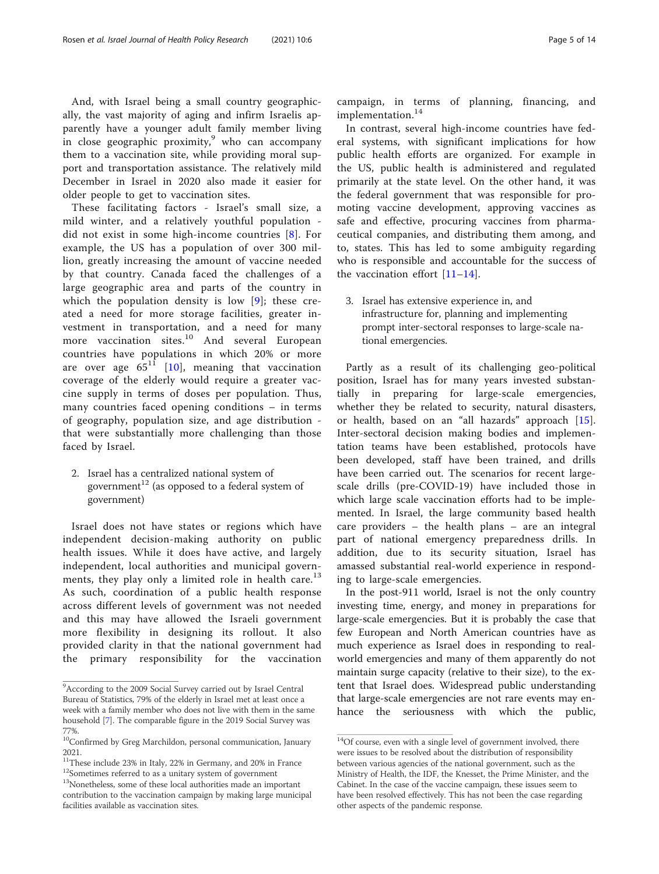And, with Israel being a small country geographically, the vast majority of aging and infirm Israelis apparently have a younger adult family member living in close geographic proximity, $9$  who can accompany them to a vaccination site, while providing moral support and transportation assistance. The relatively mild December in Israel in 2020 also made it easier for older people to get to vaccination sites.

These facilitating factors - Israel's small size, a mild winter, and a relatively youthful population did not exist in some high-income countries [\[8](#page-12-0)]. For example, the US has a population of over 300 million, greatly increasing the amount of vaccine needed by that country. Canada faced the challenges of a large geographic area and parts of the country in which the population density is low [[9](#page-12-0)]; these created a need for more storage facilities, greater investment in transportation, and a need for many more vaccination sites.<sup>10</sup> And several European countries have populations in which 20% or more are over age  $65^{11}$  [[10](#page-12-0)], meaning that vaccination coverage of the elderly would require a greater vaccine supply in terms of doses per population. Thus, many countries faced opening conditions – in terms of geography, population size, and age distribution that were substantially more challenging than those faced by Israel.

2. Israel has a centralized national system of government<sup>12</sup> (as opposed to a federal system of government)

Israel does not have states or regions which have independent decision-making authority on public health issues. While it does have active, and largely independent, local authorities and municipal governments, they play only a limited role in health care.<sup>13</sup> As such, coordination of a public health response across different levels of government was not needed and this may have allowed the Israeli government more flexibility in designing its rollout. It also provided clarity in that the national government had the primary responsibility for the vaccination

campaign, in terms of planning, financing, and implementation.<sup>14</sup>

In contrast, several high-income countries have federal systems, with significant implications for how public health efforts are organized. For example in the US, public health is administered and regulated primarily at the state level. On the other hand, it was the federal government that was responsible for promoting vaccine development, approving vaccines as safe and effective, procuring vaccines from pharmaceutical companies, and distributing them among, and to, states. This has led to some ambiguity regarding who is responsible and accountable for the success of the vaccination effort  $[11-14]$  $[11-14]$  $[11-14]$  $[11-14]$ .

3. Israel has extensive experience in, and infrastructure for, planning and implementing prompt inter-sectoral responses to large-scale national emergencies.

Partly as a result of its challenging geo-political position, Israel has for many years invested substantially in preparing for large-scale emergencies, whether they be related to security, natural disasters, or health, based on an "all hazards" approach [\[15](#page-12-0)]. Inter-sectoral decision making bodies and implementation teams have been established, protocols have been developed, staff have been trained, and drills have been carried out. The scenarios for recent largescale drills (pre-COVID-19) have included those in which large scale vaccination efforts had to be implemented. In Israel, the large community based health care providers – the health plans – are an integral part of national emergency preparedness drills. In addition, due to its security situation, Israel has amassed substantial real-world experience in responding to large-scale emergencies.

In the post-911 world, Israel is not the only country investing time, energy, and money in preparations for large-scale emergencies. But it is probably the case that few European and North American countries have as much experience as Israel does in responding to realworld emergencies and many of them apparently do not maintain surge capacity (relative to their size), to the extent that Israel does. Widespread public understanding that large-scale emergencies are not rare events may enhance the seriousness with which the public,

<sup>&</sup>lt;sup>9</sup> According to the 2009 Social Survey carried out by Israel Central Bureau of Statistics, 79% of the elderly in Israel met at least once a week with a family member who does not live with them in the same household [\[7](#page-12-0)]. The comparable figure in the 2019 Social Survey was

<sup>77%.</sup> 10Confirmed by Greg Marchildon, personal communication, January 2021.

 $^{11}$  These include 23% in Italy, 22% in Germany, and 20% in France <sup>12</sup>Sometimes referred to as a unitary system of government

<sup>&</sup>lt;sup>13</sup>Nonetheless, some of these local authorities made an important contribution to the vaccination campaign by making large municipal facilities available as vaccination sites.

 $14$ Of course, even with a single level of government involved, there were issues to be resolved about the distribution of responsibility between various agencies of the national government, such as the Ministry of Health, the IDF, the Knesset, the Prime Minister, and the Cabinet. In the case of the vaccine campaign, these issues seem to have been resolved effectively. This has not been the case regarding other aspects of the pandemic response.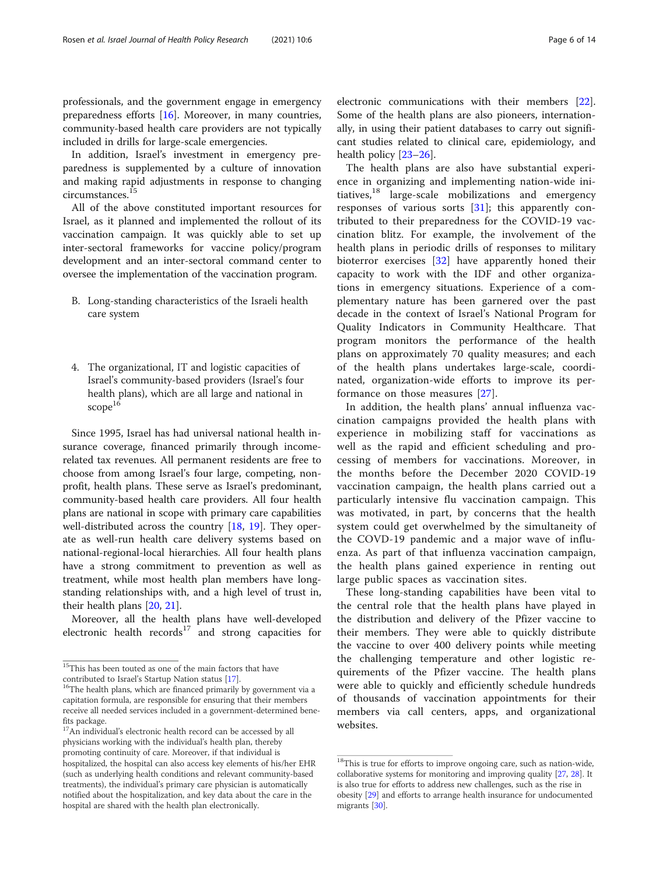professionals, and the government engage in emergency preparedness efforts [\[16\]](#page-12-0). Moreover, in many countries, community-based health care providers are not typically included in drills for large-scale emergencies.

In addition, Israel's investment in emergency preparedness is supplemented by a culture of innovation and making rapid adjustments in response to changing circumstances.<sup>15</sup>

All of the above constituted important resources for Israel, as it planned and implemented the rollout of its vaccination campaign. It was quickly able to set up inter-sectoral frameworks for vaccine policy/program development and an inter-sectoral command center to oversee the implementation of the vaccination program.

- B. Long-standing characteristics of the Israeli health care system
- 4. The organizational, IT and logistic capacities of Israel's community-based providers (Israel's four health plans), which are all large and national in scope<sup>16</sup>

Since 1995, Israel has had universal national health insurance coverage, financed primarily through incomerelated tax revenues. All permanent residents are free to choose from among Israel's four large, competing, nonprofit, health plans. These serve as Israel's predominant, community-based health care providers. All four health plans are national in scope with primary care capabilities well-distributed across the country [\[18,](#page-12-0) [19\]](#page-12-0). They operate as well-run health care delivery systems based on national-regional-local hierarchies. All four health plans have a strong commitment to prevention as well as treatment, while most health plan members have longstanding relationships with, and a high level of trust in, their health plans [\[20](#page-12-0), [21](#page-12-0)].

Moreover, all the health plans have well-developed electronic health  $records<sup>17</sup>$  and strong capacities for

electronic communications with their members [\[22](#page-12-0)]. Some of the health plans are also pioneers, internationally, in using their patient databases to carry out significant studies related to clinical care, epidemiology, and health policy [\[23](#page-12-0)–[26\]](#page-12-0).

The health plans are also have substantial experience in organizing and implementing nation-wide initiatives, $18$  large-scale mobilizations and emergency responses of various sorts [[31\]](#page-12-0); this apparently contributed to their preparedness for the COVID-19 vaccination blitz. For example, the involvement of the health plans in periodic drills of responses to military bioterror exercises [[32\]](#page-13-0) have apparently honed their capacity to work with the IDF and other organizations in emergency situations. Experience of a complementary nature has been garnered over the past decade in the context of Israel's National Program for Quality Indicators in Community Healthcare. That program monitors the performance of the health plans on approximately 70 quality measures; and each of the health plans undertakes large-scale, coordinated, organization-wide efforts to improve its performance on those measures [\[27](#page-12-0)].

In addition, the health plans' annual influenza vaccination campaigns provided the health plans with experience in mobilizing staff for vaccinations as well as the rapid and efficient scheduling and processing of members for vaccinations. Moreover, in the months before the December 2020 COVID-19 vaccination campaign, the health plans carried out a particularly intensive flu vaccination campaign. This was motivated, in part, by concerns that the health system could get overwhelmed by the simultaneity of the COVD-19 pandemic and a major wave of influenza. As part of that influenza vaccination campaign, the health plans gained experience in renting out large public spaces as vaccination sites.

These long-standing capabilities have been vital to the central role that the health plans have played in the distribution and delivery of the Pfizer vaccine to their members. They were able to quickly distribute the vaccine to over 400 delivery points while meeting the challenging temperature and other logistic requirements of the Pfizer vaccine. The health plans were able to quickly and efficiently schedule hundreds of thousands of vaccination appointments for their members via call centers, apps, and organizational websites.

<sup>&</sup>lt;sup>15</sup>This has been touted as one of the main factors that have contributed to Israel's Startup Nation status [17].

 $16$ The health plans, which are financed primarily by government via a capitation formula, are responsible for ensuring that their members receive all needed services included in a government-determined benefits package.

<sup>&</sup>lt;sup>17</sup>An individual's electronic health record can be accessed by all physicians working with the individual's health plan, thereby promoting continuity of care. Moreover, if that individual is hospitalized, the hospital can also access key elements of his/her EHR (such as underlying health conditions and relevant community-based treatments), the individual's primary care physician is automatically notified about the hospitalization, and key data about the care in the hospital are shared with the health plan electronically.

<sup>&</sup>lt;sup>18</sup>This is true for efforts to improve ongoing care, such as nation-wide, collaborative systems for monitoring and improving quality [\[27,](#page-12-0) [28\]](#page-12-0). It is also true for efforts to address new challenges, such as the rise in obesity [\[29](#page-12-0)] and efforts to arrange health insurance for undocumented migrants [\[30](#page-12-0)].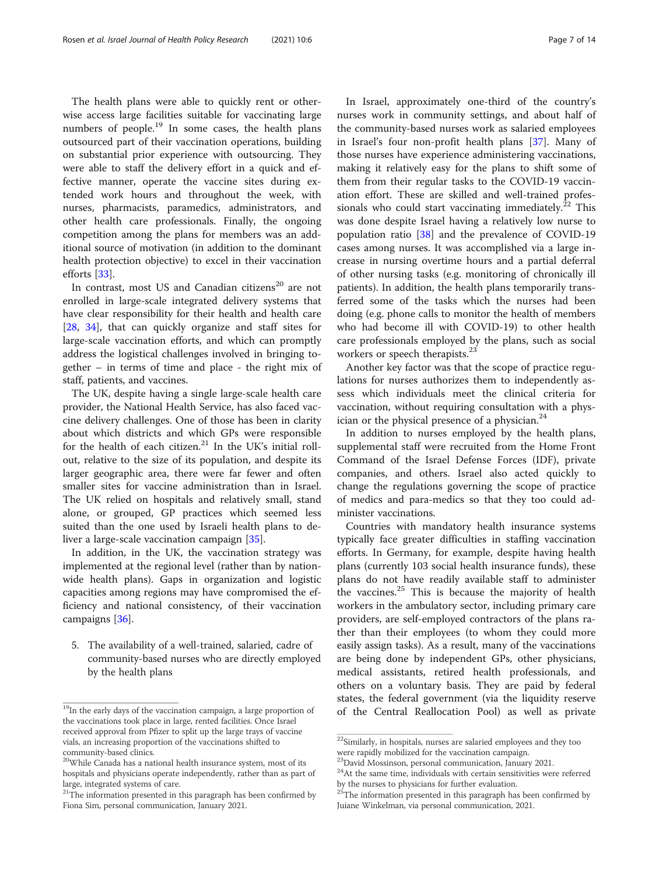The health plans were able to quickly rent or otherwise access large facilities suitable for vaccinating large numbers of people.<sup>19</sup> In some cases, the health plans outsourced part of their vaccination operations, building on substantial prior experience with outsourcing. They were able to staff the delivery effort in a quick and effective manner, operate the vaccine sites during extended work hours and throughout the week, with nurses, pharmacists, paramedics, administrators, and other health care professionals. Finally, the ongoing competition among the plans for members was an additional source of motivation (in addition to the dominant health protection objective) to excel in their vaccination efforts [[33](#page-13-0)].

In contrast, most US and Canadian citizens<sup>20</sup> are not enrolled in large-scale integrated delivery systems that have clear responsibility for their health and health care [[28,](#page-12-0) [34\]](#page-13-0), that can quickly organize and staff sites for large-scale vaccination efforts, and which can promptly address the logistical challenges involved in bringing together – in terms of time and place - the right mix of staff, patients, and vaccines.

The UK, despite having a single large-scale health care provider, the National Health Service, has also faced vaccine delivery challenges. One of those has been in clarity about which districts and which GPs were responsible for the health of each citizen. $21$  In the UK's initial rollout, relative to the size of its population, and despite its larger geographic area, there were far fewer and often smaller sites for vaccine administration than in Israel. The UK relied on hospitals and relatively small, stand alone, or grouped, GP practices which seemed less suited than the one used by Israeli health plans to deliver a large-scale vaccination campaign [\[35\]](#page-13-0).

In addition, in the UK, the vaccination strategy was implemented at the regional level (rather than by nationwide health plans). Gaps in organization and logistic capacities among regions may have compromised the efficiency and national consistency, of their vaccination campaigns [[36\]](#page-13-0).

5. The availability of a well-trained, salaried, cadre of community-based nurses who are directly employed by the health plans

In Israel, approximately one-third of the country's nurses work in community settings, and about half of the community-based nurses work as salaried employees in Israel's four non-profit health plans [\[37](#page-13-0)]. Many of those nurses have experience administering vaccinations, making it relatively easy for the plans to shift some of them from their regular tasks to the COVID-19 vaccination effort. These are skilled and well-trained professionals who could start vaccinating immediately.<sup>22</sup> This was done despite Israel having a relatively low nurse to population ratio [[38](#page-13-0)] and the prevalence of COVID-19 cases among nurses. It was accomplished via a large increase in nursing overtime hours and a partial deferral of other nursing tasks (e.g. monitoring of chronically ill patients). In addition, the health plans temporarily transferred some of the tasks which the nurses had been doing (e.g. phone calls to monitor the health of members who had become ill with COVID-19) to other health care professionals employed by the plans, such as social workers or speech therapists.<sup>23</sup>

Another key factor was that the scope of practice regulations for nurses authorizes them to independently assess which individuals meet the clinical criteria for vaccination, without requiring consultation with a physician or the physical presence of a physician.<sup>24</sup>

In addition to nurses employed by the health plans, supplemental staff were recruited from the Home Front Command of the Israel Defense Forces (IDF), private companies, and others. Israel also acted quickly to change the regulations governing the scope of practice of medics and para-medics so that they too could administer vaccinations.

Countries with mandatory health insurance systems typically face greater difficulties in staffing vaccination efforts. In Germany, for example, despite having health plans (currently 103 social health insurance funds), these plans do not have readily available staff to administer the vaccines.<sup>25</sup> This is because the majority of health workers in the ambulatory sector, including primary care providers, are self-employed contractors of the plans rather than their employees (to whom they could more easily assign tasks). As a result, many of the vaccinations are being done by independent GPs, other physicians, medical assistants, retired health professionals, and others on a voluntary basis. They are paid by federal states, the federal government (via the liquidity reserve <sup>19</sup>In the early days of the vaccination campaign, a large proportion of of the Central Reallocation Pool) as well as private

the vaccinations took place in large, rented facilities. Once Israel received approval from Pfizer to split up the large trays of vaccine vials, an increasing proportion of the vaccinations shifted to community-based clinics.

<sup>&</sup>lt;sup>20</sup>While Canada has a national health insurance system, most of its hospitals and physicians operate independently, rather than as part of large, integrated systems of care.

 $21$ <sup>The</sup> information presented in this paragraph has been confirmed by Fiona Sim, personal communication, January 2021.

 $^{22}$ Similarly, in hospitals, nurses are salaried employees and they too were rapidly mobilized for the vaccination campaign. 23David Mossinson, personal communication, January 2021.

 $24$ At the same time, individuals with certain sensitivities were referred by the nurses to physicians for further evaluation.

 $25$ The information presented in this paragraph has been confirmed by Juiane Winkelman, via personal communication, 2021.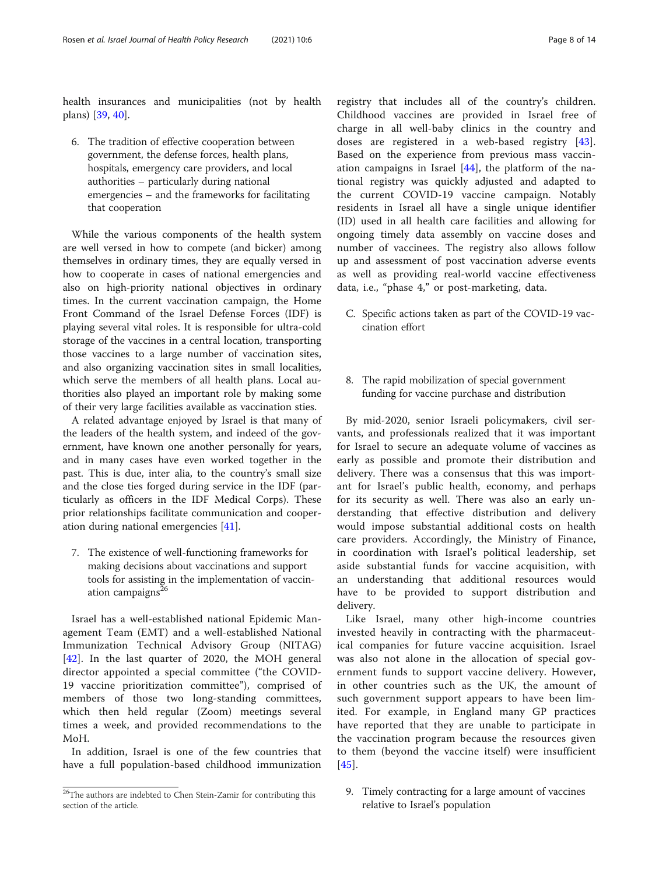health insurances and municipalities (not by health plans) [\[39](#page-13-0), [40](#page-13-0)].

6. The tradition of effective cooperation between government, the defense forces, health plans, hospitals, emergency care providers, and local authorities – particularly during national emergencies – and the frameworks for facilitating that cooperation

While the various components of the health system are well versed in how to compete (and bicker) among themselves in ordinary times, they are equally versed in how to cooperate in cases of national emergencies and also on high-priority national objectives in ordinary times. In the current vaccination campaign, the Home Front Command of the Israel Defense Forces (IDF) is playing several vital roles. It is responsible for ultra-cold storage of the vaccines in a central location, transporting those vaccines to a large number of vaccination sites, and also organizing vaccination sites in small localities, which serve the members of all health plans. Local authorities also played an important role by making some of their very large facilities available as vaccination sties.

A related advantage enjoyed by Israel is that many of the leaders of the health system, and indeed of the government, have known one another personally for years, and in many cases have even worked together in the past. This is due, inter alia, to the country's small size and the close ties forged during service in the IDF (particularly as officers in the IDF Medical Corps). These prior relationships facilitate communication and cooperation during national emergencies [[41](#page-13-0)].

7. The existence of well-functioning frameworks for making decisions about vaccinations and support tools for assisting in the implementation of vaccination campaigns<sup>26</sup>

Israel has a well-established national Epidemic Management Team (EMT) and a well-established National Immunization Technical Advisory Group (NITAG) [[42\]](#page-13-0). In the last quarter of 2020, the MOH general director appointed a special committee ("the COVID-19 vaccine prioritization committee"), comprised of members of those two long-standing committees, which then held regular (Zoom) meetings several times a week, and provided recommendations to the MoH.

In addition, Israel is one of the few countries that have a full population-based childhood immunization

registry that includes all of the country's children. Childhood vaccines are provided in Israel free of charge in all well-baby clinics in the country and doses are registered in a web-based registry [\[43](#page-13-0)]. Based on the experience from previous mass vaccination campaigns in Israel  $[44]$  $[44]$ , the platform of the national registry was quickly adjusted and adapted to the current COVID-19 vaccine campaign. Notably residents in Israel all have a single unique identifier (ID) used in all health care facilities and allowing for ongoing timely data assembly on vaccine doses and number of vaccinees. The registry also allows follow up and assessment of post vaccination adverse events as well as providing real-world vaccine effectiveness data, i.e., "phase 4," or post-marketing, data.

- C. Specific actions taken as part of the COVID-19 vaccination effort
- 8. The rapid mobilization of special government funding for vaccine purchase and distribution

By mid-2020, senior Israeli policymakers, civil servants, and professionals realized that it was important for Israel to secure an adequate volume of vaccines as early as possible and promote their distribution and delivery. There was a consensus that this was important for Israel's public health, economy, and perhaps for its security as well. There was also an early understanding that effective distribution and delivery would impose substantial additional costs on health care providers. Accordingly, the Ministry of Finance, in coordination with Israel's political leadership, set aside substantial funds for vaccine acquisition, with an understanding that additional resources would have to be provided to support distribution and delivery.

Like Israel, many other high-income countries invested heavily in contracting with the pharmaceutical companies for future vaccine acquisition. Israel was also not alone in the allocation of special government funds to support vaccine delivery. However, in other countries such as the UK, the amount of such government support appears to have been limited. For example, in England many GP practices have reported that they are unable to participate in the vaccination program because the resources given to them (beyond the vaccine itself) were insufficient [[45](#page-13-0)].

9. Timely contracting for a large amount of vaccines relative to Israel's population

<sup>&</sup>lt;sup>26</sup>The authors are indebted to Chen Stein-Zamir for contributing this section of the article.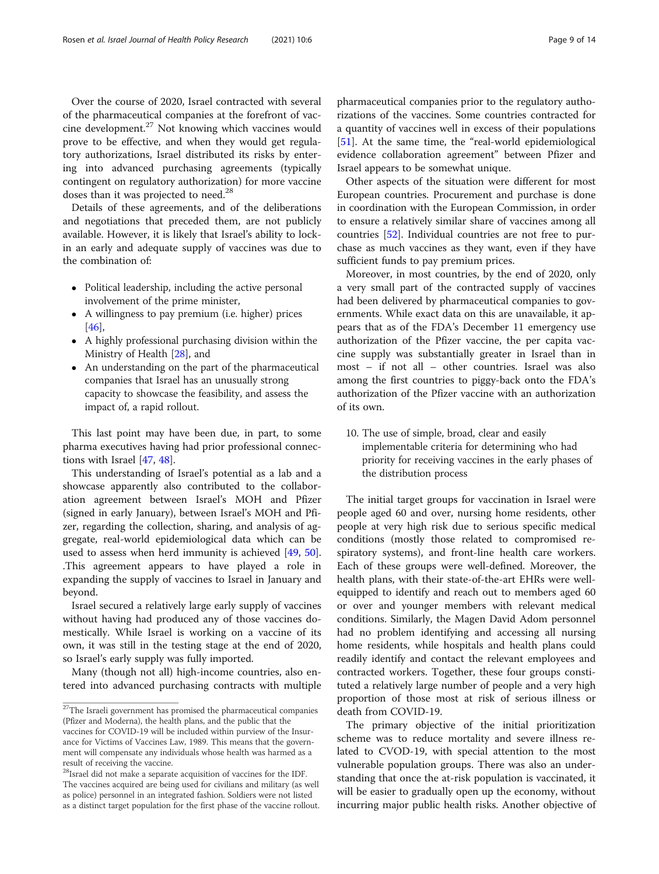Over the course of 2020, Israel contracted with several of the pharmaceutical companies at the forefront of vaccine development.27 Not knowing which vaccines would prove to be effective, and when they would get regulatory authorizations, Israel distributed its risks by entering into advanced purchasing agreements (typically contingent on regulatory authorization) for more vaccine doses than it was projected to need.<sup>28</sup>

Details of these agreements, and of the deliberations and negotiations that preceded them, are not publicly available. However, it is likely that Israel's ability to lockin an early and adequate supply of vaccines was due to the combination of:

- Political leadership, including the active personal involvement of the prime minister,
- A willingness to pay premium (i.e. higher) prices [[46](#page-13-0)],
- A highly professional purchasing division within the Ministry of Health [[28](#page-12-0)], and
- An understanding on the part of the pharmaceutical companies that Israel has an unusually strong capacity to showcase the feasibility, and assess the impact of, a rapid rollout.

This last point may have been due, in part, to some pharma executives having had prior professional connections with Israel [[47,](#page-13-0) [48](#page-13-0)].

This understanding of Israel's potential as a lab and a showcase apparently also contributed to the collaboration agreement between Israel's MOH and Pfizer (signed in early January), between Israel's MOH and Pfizer, regarding the collection, sharing, and analysis of aggregate, real-world epidemiological data which can be used to assess when herd immunity is achieved [\[49,](#page-13-0) [50](#page-13-0)]. .This agreement appears to have played a role in expanding the supply of vaccines to Israel in January and beyond.

Israel secured a relatively large early supply of vaccines without having had produced any of those vaccines domestically. While Israel is working on a vaccine of its own, it was still in the testing stage at the end of 2020, so Israel's early supply was fully imported.

Many (though not all) high-income countries, also entered into advanced purchasing contracts with multiple pharmaceutical companies prior to the regulatory authorizations of the vaccines. Some countries contracted for a quantity of vaccines well in excess of their populations [[51\]](#page-13-0). At the same time, the "real-world epidemiological evidence collaboration agreement" between Pfizer and Israel appears to be somewhat unique.

Other aspects of the situation were different for most European countries. Procurement and purchase is done in coordination with the European Commission, in order to ensure a relatively similar share of vaccines among all countries [[52](#page-13-0)]. Individual countries are not free to purchase as much vaccines as they want, even if they have sufficient funds to pay premium prices.

Moreover, in most countries, by the end of 2020, only a very small part of the contracted supply of vaccines had been delivered by pharmaceutical companies to governments. While exact data on this are unavailable, it appears that as of the FDA's December 11 emergency use authorization of the Pfizer vaccine, the per capita vaccine supply was substantially greater in Israel than in most – if not all – other countries. Israel was also among the first countries to piggy-back onto the FDA's authorization of the Pfizer vaccine with an authorization of its own.

10. The use of simple, broad, clear and easily implementable criteria for determining who had priority for receiving vaccines in the early phases of the distribution process

The initial target groups for vaccination in Israel were people aged 60 and over, nursing home residents, other people at very high risk due to serious specific medical conditions (mostly those related to compromised respiratory systems), and front-line health care workers. Each of these groups were well-defined. Moreover, the health plans, with their state-of-the-art EHRs were wellequipped to identify and reach out to members aged 60 or over and younger members with relevant medical conditions. Similarly, the Magen David Adom personnel had no problem identifying and accessing all nursing home residents, while hospitals and health plans could readily identify and contact the relevant employees and contracted workers. Together, these four groups constituted a relatively large number of people and a very high proportion of those most at risk of serious illness or death from COVID-19.

The primary objective of the initial prioritization scheme was to reduce mortality and severe illness related to CVOD-19, with special attention to the most vulnerable population groups. There was also an understanding that once the at-risk population is vaccinated, it will be easier to gradually open up the economy, without incurring major public health risks. Another objective of

<sup>&</sup>lt;sup>27</sup>The Israeli government has promised the pharmaceutical companies (Pfizer and Moderna), the health plans, and the public that the vaccines for COVID-19 will be included within purview of the Insurance for Victims of Vaccines Law, 1989. This means that the government will compensate any individuals whose health was harmed as a result of receiving the vaccine.

<sup>28</sup>Israel did not make a separate acquisition of vaccines for the IDF. The vaccines acquired are being used for civilians and military (as well as police) personnel in an integrated fashion. Soldiers were not listed as a distinct target population for the first phase of the vaccine rollout.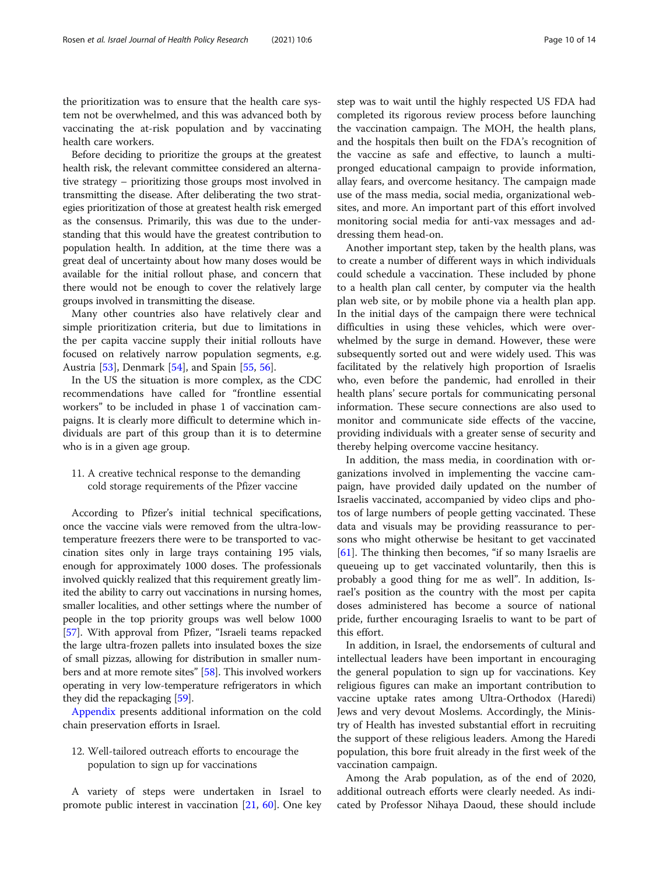the prioritization was to ensure that the health care system not be overwhelmed, and this was advanced both by vaccinating the at-risk population and by vaccinating health care workers.

Before deciding to prioritize the groups at the greatest health risk, the relevant committee considered an alternative strategy – prioritizing those groups most involved in transmitting the disease. After deliberating the two strategies prioritization of those at greatest health risk emerged as the consensus. Primarily, this was due to the understanding that this would have the greatest contribution to population health. In addition, at the time there was a great deal of uncertainty about how many doses would be available for the initial rollout phase, and concern that there would not be enough to cover the relatively large groups involved in transmitting the disease.

Many other countries also have relatively clear and simple prioritization criteria, but due to limitations in the per capita vaccine supply their initial rollouts have focused on relatively narrow population segments, e.g. Austria [[53\]](#page-13-0), Denmark [[54\]](#page-13-0), and Spain [[55,](#page-13-0) [56](#page-13-0)].

In the US the situation is more complex, as the CDC recommendations have called for "frontline essential workers" to be included in phase 1 of vaccination campaigns. It is clearly more difficult to determine which individuals are part of this group than it is to determine who is in a given age group.

# 11. A creative technical response to the demanding cold storage requirements of the Pfizer vaccine

According to Pfizer's initial technical specifications, once the vaccine vials were removed from the ultra-lowtemperature freezers there were to be transported to vaccination sites only in large trays containing 195 vials, enough for approximately 1000 doses. The professionals involved quickly realized that this requirement greatly limited the ability to carry out vaccinations in nursing homes, smaller localities, and other settings where the number of people in the top priority groups was well below 1000 [[57](#page-13-0)]. With approval from Pfizer, "Israeli teams repacked the large ultra-frozen pallets into insulated boxes the size of small pizzas, allowing for distribution in smaller numbers and at more remote sites" [[58](#page-13-0)]. This involved workers operating in very low-temperature refrigerators in which they did the repackaging [\[59](#page-13-0)].

[Appendix](#page-11-0) presents additional information on the cold chain preservation efforts in Israel.

# 12. Well-tailored outreach efforts to encourage the population to sign up for vaccinations

A variety of steps were undertaken in Israel to promote public interest in vaccination [[21,](#page-12-0) [60](#page-13-0)]. One key step was to wait until the highly respected US FDA had completed its rigorous review process before launching the vaccination campaign. The MOH, the health plans, and the hospitals then built on the FDA's recognition of the vaccine as safe and effective, to launch a multipronged educational campaign to provide information, allay fears, and overcome hesitancy. The campaign made use of the mass media, social media, organizational websites, and more. An important part of this effort involved monitoring social media for anti-vax messages and addressing them head-on.

Another important step, taken by the health plans, was to create a number of different ways in which individuals could schedule a vaccination. These included by phone to a health plan call center, by computer via the health plan web site, or by mobile phone via a health plan app. In the initial days of the campaign there were technical difficulties in using these vehicles, which were overwhelmed by the surge in demand. However, these were subsequently sorted out and were widely used. This was facilitated by the relatively high proportion of Israelis who, even before the pandemic, had enrolled in their health plans' secure portals for communicating personal information. These secure connections are also used to monitor and communicate side effects of the vaccine, providing individuals with a greater sense of security and thereby helping overcome vaccine hesitancy.

In addition, the mass media, in coordination with organizations involved in implementing the vaccine campaign, have provided daily updated on the number of Israelis vaccinated, accompanied by video clips and photos of large numbers of people getting vaccinated. These data and visuals may be providing reassurance to persons who might otherwise be hesitant to get vaccinated [[61\]](#page-13-0). The thinking then becomes, "if so many Israelis are queueing up to get vaccinated voluntarily, then this is probably a good thing for me as well". In addition, Israel's position as the country with the most per capita doses administered has become a source of national pride, further encouraging Israelis to want to be part of this effort.

In addition, in Israel, the endorsements of cultural and intellectual leaders have been important in encouraging the general population to sign up for vaccinations. Key religious figures can make an important contribution to vaccine uptake rates among Ultra-Orthodox (Haredi) Jews and very devout Moslems. Accordingly, the Ministry of Health has invested substantial effort in recruiting the support of these religious leaders. Among the Haredi population, this bore fruit already in the first week of the vaccination campaign.

Among the Arab population, as of the end of 2020, additional outreach efforts were clearly needed. As indicated by Professor Nihaya Daoud, these should include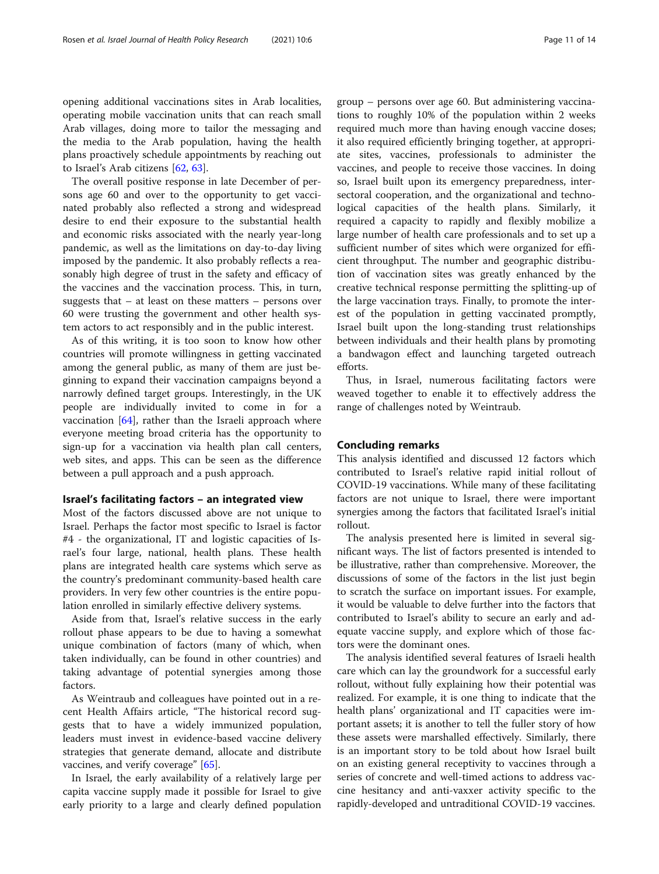opening additional vaccinations sites in Arab localities, operating mobile vaccination units that can reach small Arab villages, doing more to tailor the messaging and the media to the Arab population, having the health plans proactively schedule appointments by reaching out to Israel's Arab citizens [\[62](#page-13-0), [63](#page-13-0)].

The overall positive response in late December of persons age 60 and over to the opportunity to get vaccinated probably also reflected a strong and widespread desire to end their exposure to the substantial health and economic risks associated with the nearly year-long pandemic, as well as the limitations on day-to-day living imposed by the pandemic. It also probably reflects a reasonably high degree of trust in the safety and efficacy of the vaccines and the vaccination process. This, in turn, suggests that – at least on these matters – persons over 60 were trusting the government and other health system actors to act responsibly and in the public interest.

As of this writing, it is too soon to know how other countries will promote willingness in getting vaccinated among the general public, as many of them are just beginning to expand their vaccination campaigns beyond a narrowly defined target groups. Interestingly, in the UK people are individually invited to come in for a vaccination [[64\]](#page-13-0), rather than the Israeli approach where everyone meeting broad criteria has the opportunity to sign-up for a vaccination via health plan call centers, web sites, and apps. This can be seen as the difference between a pull approach and a push approach.

### Israel's facilitating factors – an integrated view

Most of the factors discussed above are not unique to Israel. Perhaps the factor most specific to Israel is factor #4 - the organizational, IT and logistic capacities of Israel's four large, national, health plans. These health plans are integrated health care systems which serve as the country's predominant community-based health care providers. In very few other countries is the entire population enrolled in similarly effective delivery systems.

Aside from that, Israel's relative success in the early rollout phase appears to be due to having a somewhat unique combination of factors (many of which, when taken individually, can be found in other countries) and taking advantage of potential synergies among those factors.

As Weintraub and colleagues have pointed out in a recent Health Affairs article, "The historical record suggests that to have a widely immunized population, leaders must invest in evidence-based vaccine delivery strategies that generate demand, allocate and distribute vaccines, and verify coverage" [\[65](#page-13-0)].

In Israel, the early availability of a relatively large per capita vaccine supply made it possible for Israel to give early priority to a large and clearly defined population group – persons over age 60. But administering vaccinations to roughly 10% of the population within 2 weeks required much more than having enough vaccine doses; it also required efficiently bringing together, at appropriate sites, vaccines, professionals to administer the vaccines, and people to receive those vaccines. In doing so, Israel built upon its emergency preparedness, intersectoral cooperation, and the organizational and technological capacities of the health plans. Similarly, it required a capacity to rapidly and flexibly mobilize a large number of health care professionals and to set up a sufficient number of sites which were organized for efficient throughput. The number and geographic distribution of vaccination sites was greatly enhanced by the creative technical response permitting the splitting-up of the large vaccination trays. Finally, to promote the interest of the population in getting vaccinated promptly, Israel built upon the long-standing trust relationships between individuals and their health plans by promoting a bandwagon effect and launching targeted outreach efforts.

Thus, in Israel, numerous facilitating factors were weaved together to enable it to effectively address the range of challenges noted by Weintraub.

# Concluding remarks

This analysis identified and discussed 12 factors which contributed to Israel's relative rapid initial rollout of COVID-19 vaccinations. While many of these facilitating factors are not unique to Israel, there were important synergies among the factors that facilitated Israel's initial rollout.

The analysis presented here is limited in several significant ways. The list of factors presented is intended to be illustrative, rather than comprehensive. Moreover, the discussions of some of the factors in the list just begin to scratch the surface on important issues. For example, it would be valuable to delve further into the factors that contributed to Israel's ability to secure an early and adequate vaccine supply, and explore which of those factors were the dominant ones.

The analysis identified several features of Israeli health care which can lay the groundwork for a successful early rollout, without fully explaining how their potential was realized. For example, it is one thing to indicate that the health plans' organizational and IT capacities were important assets; it is another to tell the fuller story of how these assets were marshalled effectively. Similarly, there is an important story to be told about how Israel built on an existing general receptivity to vaccines through a series of concrete and well-timed actions to address vaccine hesitancy and anti-vaxxer activity specific to the rapidly-developed and untraditional COVID-19 vaccines.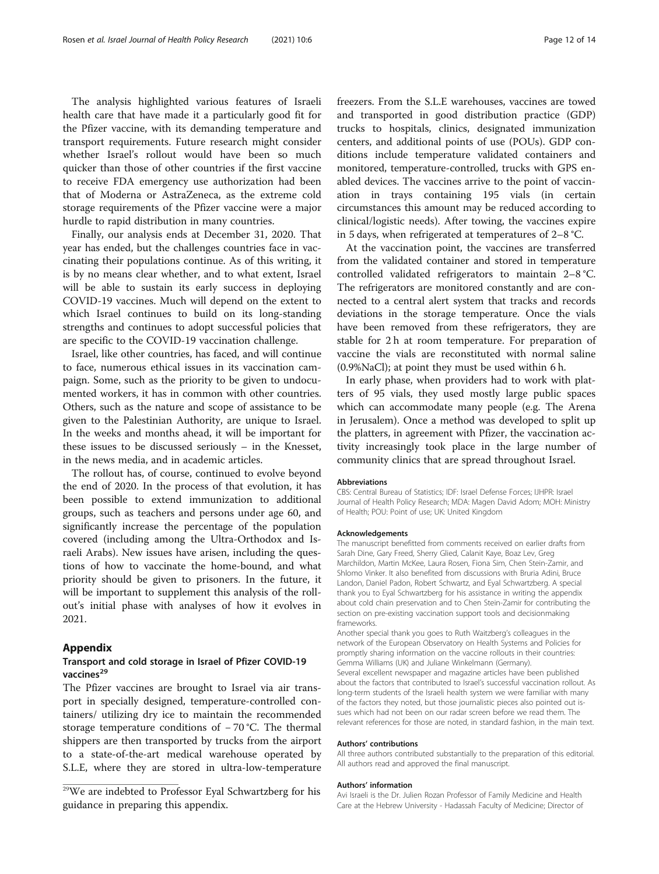<span id="page-11-0"></span>The analysis highlighted various features of Israeli health care that have made it a particularly good fit for the Pfizer vaccine, with its demanding temperature and transport requirements. Future research might consider whether Israel's rollout would have been so much quicker than those of other countries if the first vaccine to receive FDA emergency use authorization had been that of Moderna or AstraZeneca, as the extreme cold storage requirements of the Pfizer vaccine were a major hurdle to rapid distribution in many countries.

Finally, our analysis ends at December 31, 2020. That year has ended, but the challenges countries face in vaccinating their populations continue. As of this writing, it is by no means clear whether, and to what extent, Israel will be able to sustain its early success in deploying COVID-19 vaccines. Much will depend on the extent to which Israel continues to build on its long-standing strengths and continues to adopt successful policies that are specific to the COVID-19 vaccination challenge.

Israel, like other countries, has faced, and will continue to face, numerous ethical issues in its vaccination campaign. Some, such as the priority to be given to undocumented workers, it has in common with other countries. Others, such as the nature and scope of assistance to be given to the Palestinian Authority, are unique to Israel. In the weeks and months ahead, it will be important for these issues to be discussed seriously – in the Knesset, in the news media, and in academic articles.

The rollout has, of course, continued to evolve beyond the end of 2020. In the process of that evolution, it has been possible to extend immunization to additional groups, such as teachers and persons under age 60, and significantly increase the percentage of the population covered (including among the Ultra-Orthodox and Israeli Arabs). New issues have arisen, including the questions of how to vaccinate the home-bound, and what priority should be given to prisoners. In the future, it will be important to supplement this analysis of the rollout's initial phase with analyses of how it evolves in 2021.

#### Appendix

# Transport and cold storage in Israel of Pfizer COVID-19 vaccines<sup>29</sup>

The Pfizer vaccines are brought to Israel via air transport in specially designed, temperature-controlled containers/ utilizing dry ice to maintain the recommended storage temperature conditions of − 70 °C. The thermal shippers are then transported by trucks from the airport to a state-of-the-art medical warehouse operated by S.L.E, where they are stored in ultra-low-temperature

freezers. From the S.L.E warehouses, vaccines are towed and transported in good distribution practice (GDP) trucks to hospitals, clinics, designated immunization centers, and additional points of use (POUs). GDP conditions include temperature validated containers and monitored, temperature-controlled, trucks with GPS enabled devices. The vaccines arrive to the point of vaccination in trays containing 195 vials (in certain circumstances this amount may be reduced according to clinical/logistic needs). After towing, the vaccines expire in 5 days, when refrigerated at temperatures of 2–8 °C.

At the vaccination point, the vaccines are transferred from the validated container and stored in temperature controlled validated refrigerators to maintain 2–8 °C. The refrigerators are monitored constantly and are connected to a central alert system that tracks and records deviations in the storage temperature. Once the vials have been removed from these refrigerators, they are stable for 2 h at room temperature. For preparation of vaccine the vials are reconstituted with normal saline (0.9%NaCl); at point they must be used within 6 h.

In early phase, when providers had to work with platters of 95 vials, they used mostly large public spaces which can accommodate many people (e.g. The Arena in Jerusalem). Once a method was developed to split up the platters, in agreement with Pfizer, the vaccination activity increasingly took place in the large number of community clinics that are spread throughout Israel.

#### Abbreviations

CBS: Central Bureau of Statistics; IDF: Israel Defense Forces; IJHPR: Israel Journal of Health Policy Research; MDA: Magen David Adom; MOH: Ministry of Health; POU: Point of use; UK: United Kingdom

#### Acknowledgements

The manuscript benefitted from comments received on earlier drafts from Sarah Dine, Gary Freed, Sherry Glied, Calanit Kaye, Boaz Lev, Greg Marchildon, Martin McKee, Laura Rosen, Fiona Sim, Chen Stein-Zamir, and Shlomo Vinker. It also benefited from discussions with Bruria Adini, Bruce Landon, Daniel Padon, Robert Schwartz, and Eyal Schwartzberg. A special thank you to Eyal Schwartzberg for his assistance in writing the appendix about cold chain preservation and to Chen Stein-Zamir for contributing the section on pre-existing vaccination support tools and decisionmaking frameworks.

Another special thank you goes to Ruth Waitzberg's colleagues in the network of the European Observatory on Health Systems and Policies for promptly sharing information on the vaccine rollouts in their countries: Gemma Williams (UK) and Juliane Winkelmann (Germany). Several excellent newspaper and magazine articles have been published about the factors that contributed to Israel's successful vaccination rollout. As long-term students of the Israeli health system we were familiar with many of the factors they noted, but those journalistic pieces also pointed out issues which had not been on our radar screen before we read them. The relevant references for those are noted, in standard fashion, in the main text.

#### Authors' contributions

All three authors contributed substantially to the preparation of this editorial. All authors read and approved the final manuscript.

#### Authors' information

Avi Israeli is the Dr. Julien Rozan Professor of Family Medicine and Health Care at the Hebrew University - Hadassah Faculty of Medicine; Director of

<sup>29</sup>We are indebted to Professor Eyal Schwartzberg for his guidance in preparing this appendix.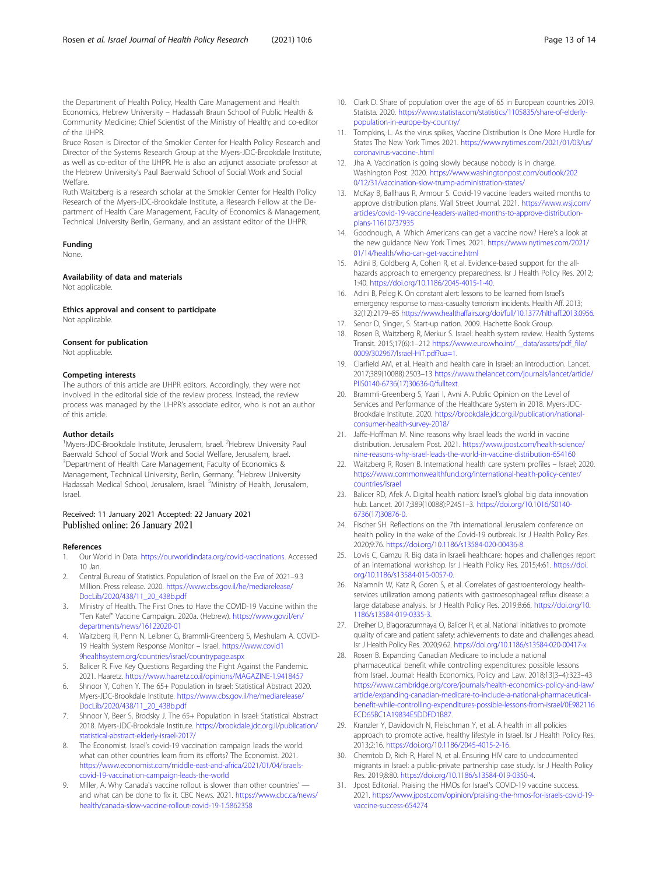<span id="page-12-0"></span>the Department of Health Policy, Health Care Management and Health Economics, Hebrew University – Hadassah Braun School of Public Health & Community Medicine; Chief Scientist of the Ministry of Health; and co-editor of the IJHPR.

Bruce Rosen is Director of the Smokler Center for Health Policy Research and Director of the Systems Research Group at the Myers-JDC-Brookdale Institute, as well as co-editor of the IJHPR. He is also an adjunct associate professor at the Hebrew University's Paul Baerwald School of Social Work and Social Welfare.

Ruth Waitzberg is a research scholar at the Smokler Center for Health Policy Research of the Myers-JDC-Brookdale Institute, a Research Fellow at the Department of Health Care Management, Faculty of Economics & Management, Technical University Berlin, Germany, and an assistant editor of the IJHPR.

#### Funding

None.

Availability of data and materials

Not applicable

Ethics approval and consent to participate Not applicable.

#### Consent for publication

Not applicable.

#### Competing interests

The authors of this article are IJHPR editors. Accordingly, they were not involved in the editorial side of the review process. Instead, the review process was managed by the IJHPR's associate editor, who is not an author of this article.

#### Author details

<sup>1</sup>Myers-JDC-Brookdale Institute, Jerusalem, Israel. <sup>2</sup>Hebrew University Paul Baerwald School of Social Work and Social Welfare, Jerusalem, Israel. <sup>3</sup>Department of Health Care Management, Faculty of Economics & Management, Technical University, Berlin, Germany. <sup>4</sup>Hebrew University Hadassah Medical School, Jerusalem, Israel. <sup>5</sup>Ministry of Health, Jerusalem, Israel.

#### Received: 11 January 2021 Accepted: 22 January 2021 Published online: 26 January 2021

#### References

- 1. Our World in Data. <https://ourworldindata.org/covid-vaccinations>. Accessed 10 Jan.
- 2. Central Bureau of Statistics. Population of Israel on the Eve of 2021–9.3 Million. Press release. 2020. [https://www.cbs.gov.il/he/mediarelease/](https://www.cbs.gov.il/he/mediarelease/DocLib/2020/438/11_20_438b.pdf) [DocLib/2020/438/11\\_20\\_438b.pdf](https://www.cbs.gov.il/he/mediarelease/DocLib/2020/438/11_20_438b.pdf)
- 3. Ministry of Health. The First Ones to Have the COVID-19 Vaccine within the "Ten Katef" Vaccine Campaign. 2020a. (Hebrew). [https://www.gov.il/en/](https://www.gov.il/en/departments/news/16122020-01) [departments/news/16122020-01](https://www.gov.il/en/departments/news/16122020-01)
- 4. Waitzberg R, Penn N, Leibner G, Brammli-Greenberg S, Meshulam A. COVID-19 Health System Response Monitor – Israel. [https://www.covid1](https://www.covid19healthsystem.org/countries/israel/countrypage.aspx) [9healthsystem.org/countries/israel/countrypage.aspx](https://www.covid19healthsystem.org/countries/israel/countrypage.aspx)
- 5. Balicer R. Five Key Questions Regarding the Fight Against the Pandemic. 2021. Haaretz. <https://www.haaretz.co.il/opinions/MAGAZINE-1.9418457>
- 6. Shnoor Y, Cohen Y. The 65+ Population in Israel: Statistical Abstract 2020. Myers-JDC-Brookdale Institute. [https://www.cbs.gov.il/he/mediarelease/](https://www.cbs.gov.il/he/mediarelease/DocLib/2020/438/11_20_438b.pdf) [DocLib/2020/438/11\\_20\\_438b.pdf](https://www.cbs.gov.il/he/mediarelease/DocLib/2020/438/11_20_438b.pdf)
- Shnoor Y, Beer S, Brodsky J. The 65+ Population in Israel: Statistical Abstract 2018. Myers-JDC-Brookdale Institute. [https://brookdale.jdc.org.il/publication/](https://brookdale.jdc.org.il/publication/statistical-abstract-elderly-israel-2017/) [statistical-abstract-elderly-israel-2017/](https://brookdale.jdc.org.il/publication/statistical-abstract-elderly-israel-2017/)
- 8. The Economist. Israel's covid-19 vaccination campaign leads the world: what can other countries learn from its efforts? The Economist. 2021. [https://www.economist.com/middle-east-and-africa/2021/01/04/israels](https://www.economist.com/middle-east-and-africa/2021/01/04/israels-covid-19-vaccination-campaign-leads-the-world)[covid-19-vaccination-campaign-leads-the-world](https://www.economist.com/middle-east-and-africa/2021/01/04/israels-covid-19-vaccination-campaign-leads-the-world)
- 9. Miller, A. Why Canada's vaccine rollout is slower than other countries' and what can be done to fix it. CBC News. 2021. [https://www.cbc.ca/news/](https://www.cbc.ca/news/health/canada-slow-vaccine-rollout-covid-19-1.5862358) [health/canada-slow-vaccine-rollout-covid-19-1.5862358](https://www.cbc.ca/news/health/canada-slow-vaccine-rollout-covid-19-1.5862358)
- 10. Clark D. Share of population over the age of 65 in European countries 2019. Statista. 2020. [https://www.statista.com/statistics/1105835/share-of-elderly](https://www.statista.com/statistics/1105835/share-of-elderly-population-in-europe-by-country/)[population-in-europe-by-country/](https://www.statista.com/statistics/1105835/share-of-elderly-population-in-europe-by-country/)
- 11. Tompkins, L. As the virus spikes, Vaccine Distribution Is One More Hurdle for States The New York Times 2021. [https://www.nytimes.com/2021/01/03/us/](https://www.nytimes.com/2021/01/03/us/coronavirus-vaccine-.html) [coronavirus-vaccine-.html](https://www.nytimes.com/2021/01/03/us/coronavirus-vaccine-.html)
- 12. Jha A. Vaccination is going slowly because nobody is in charge. Washington Post. 2020. [https://www.washingtonpost.com/outlook/202](https://www.washingtonpost.com/outlook/2020/12/31/vaccination-slow-trump-administration-states/) [0/12/31/vaccination-slow-trump-administration-states/](https://www.washingtonpost.com/outlook/2020/12/31/vaccination-slow-trump-administration-states/)
- 13. McKay B, Ballhaus R, Armour S. Covid-19 vaccine leaders waited months to approve distribution plans. Wall Street Journal. 2021. [https://www.wsj.com/](https://www.wsj.com/articles/covid-19-vaccine-leaders-waited-months-to-approve-distribution-plans-11610737935) [articles/covid-19-vaccine-leaders-waited-months-to-approve-distribution](https://www.wsj.com/articles/covid-19-vaccine-leaders-waited-months-to-approve-distribution-plans-11610737935)[plans-11610737935](https://www.wsj.com/articles/covid-19-vaccine-leaders-waited-months-to-approve-distribution-plans-11610737935)
- 14. Goodnough, A. Which Americans can get a vaccine now? Here's a look at the new guidance New York Times. 2021. [https://www.nytimes.com/2021/](https://www.nytimes.com/2021/01/14/health/who-can-get-vaccine.html) [01/14/health/who-can-get-vaccine.html](https://www.nytimes.com/2021/01/14/health/who-can-get-vaccine.html)
- 15. Adini B, Goldberg A, Cohen R, et al. Evidence-based support for the allhazards approach to emergency preparedness. Isr J Health Policy Res. 2012; 1:40. <https://doi.org/10.1186/2045-4015-1-40>.
- 16. Adini B, Peleg K. On constant alert: lessons to be learned from Israel's emergency response to mass-casualty terrorism incidents. Health Aff. 2013: 32(12):2179–85 <https://www.healthaffairs.org/doi/full/10.1377/hlthaff.2013.0956>.
- 17. Senor D, Singer, S. Start-up nation. 2009. Hachette Book Group.
- 18. Rosen B, Waitzberg R, Merkur S. Israel: health system review. Health Systems Transit. 2015;17(6):1–212 [https://www.euro.who.int/\\_\\_data/assets/pdf\\_file/](https://www.euro.who.int/__data/assets/pdf_file/0009/302967/Israel-HiT.pdf?ua=1) [0009/302967/Israel-HiT.pdf?ua=1](https://www.euro.who.int/__data/assets/pdf_file/0009/302967/Israel-HiT.pdf?ua=1).
- 19. Clarfield AM, et al. Health and health care in Israel: an introduction. Lancet. 2017;389(10088):2503–13 [https://www.thelancet.com/journals/lancet/article/](https://www.thelancet.com/journals/lancet/article/PIIS0140-6736(17)30636-0/fulltext) [PIIS0140-6736\(17\)30636-0/fulltext.](https://www.thelancet.com/journals/lancet/article/PIIS0140-6736(17)30636-0/fulltext)
- 20. Brammli-Greenberg S, Yaari I, Avni A. Public Opinion on the Level of Services and Performance of the Healthcare System in 2018. Myers-JDC-Brookdale Institute. 2020. [https://brookdale.jdc.org.il/publication/national](https://brookdale.jdc.org.il/publication/national-consumer-health-survey-2018/)[consumer-health-survey-2018/](https://brookdale.jdc.org.il/publication/national-consumer-health-survey-2018/)
- 21. Jaffe-Hoffman M. Nine reasons why Israel leads the world in vaccine distribution. Jerusalem Post. 2021. [https://www.jpost.com/health-science/](https://www.jpost.com/health-science/nine-reasons-why-israel-leads-the-world-in-vaccine-distribution-654160) [nine-reasons-why-israel-leads-the-world-in-vaccine-distribution-654160](https://www.jpost.com/health-science/nine-reasons-why-israel-leads-the-world-in-vaccine-distribution-654160)
- 22. Waitzberg R, Rosen B. International health care system profiles Israel; 2020. [https://www.commonwealthfund.org/international-health-policy-center/](https://www.commonwealthfund.org/international-health-policy-center/countries/israel) [countries/israel](https://www.commonwealthfund.org/international-health-policy-center/countries/israel)
- 23. Balicer RD, Afek A. Digital health nation: Israel's global big data innovation hub. Lancet. 2017;389(10088):P2451–3. [https://doi.org/10.1016/S0140-](https://doi.org/10.1016/S0140-6736(17)30876-0) [6736\(17\)30876-0](https://doi.org/10.1016/S0140-6736(17)30876-0).
- 24. Fischer SH. Reflections on the 7th international Jerusalem conference on health policy in the wake of the Covid-19 outbreak. Isr J Health Policy Res. 2020;9:76. <https://doi.org/10.1186/s13584-020-00436-8>.
- 25. Lovis C, Gamzu R. Big data in Israeli healthcare: hopes and challenges report of an international workshop. Isr J Health Policy Res. 2015;4:61. [https://doi.](https://doi.org/10.1186/s13584-015-0057-0) [org/10.1186/s13584-015-0057-0](https://doi.org/10.1186/s13584-015-0057-0).
- 26. Na'amnih W, Katz R, Goren S, et al. Correlates of gastroenterology healthservices utilization among patients with gastroesophageal reflux disease: a large database analysis. Isr J Health Policy Res. 2019;8:66. [https://doi.org/10.](https://doi.org/10.1186/s13584-019-0335-3) [1186/s13584-019-0335-3](https://doi.org/10.1186/s13584-019-0335-3).
- 27. Dreiher D, Blagorazumnaya O, Balicer R, et al. National initiatives to promote quality of care and patient safety: achievements to date and challenges ahead. Isr J Health Policy Res. 2020;9:62. <https://doi.org/10.1186/s13584-020-00417-x>.
- 28. Rosen B. Expanding Canadian Medicare to include a national pharmaceutical benefit while controlling expenditures: possible lessons from Israel. Journal: Health Economics, Policy and Law. 2018;13(3–4):323–43 [https://www.cambridge.org/core/journals/health-economics-policy-and-law/](https://www.cambridge.org/core/journals/health-economics-policy-and-law/article/expanding-canadian-medicare-to-include-a-national-pharmaceutical-benefit-while-controlling-expenditures-possible-lessons-from-israel/0E982116ECD65BC1A19834E5DDFD1B87) [article/expanding-canadian-medicare-to-include-a-national-pharmaceutical](https://www.cambridge.org/core/journals/health-economics-policy-and-law/article/expanding-canadian-medicare-to-include-a-national-pharmaceutical-benefit-while-controlling-expenditures-possible-lessons-from-israel/0E982116ECD65BC1A19834E5DDFD1B87)[benefit-while-controlling-expenditures-possible-lessons-from-israel/0E982116](https://www.cambridge.org/core/journals/health-economics-policy-and-law/article/expanding-canadian-medicare-to-include-a-national-pharmaceutical-benefit-while-controlling-expenditures-possible-lessons-from-israel/0E982116ECD65BC1A19834E5DDFD1B87) [ECD65BC1A19834E5DDFD1B87](https://www.cambridge.org/core/journals/health-economics-policy-and-law/article/expanding-canadian-medicare-to-include-a-national-pharmaceutical-benefit-while-controlling-expenditures-possible-lessons-from-israel/0E982116ECD65BC1A19834E5DDFD1B87).
- 29. Kranzler Y, Davidovich N, Fleischman Y, et al. A health in all policies approach to promote active, healthy lifestyle in Israel. Isr J Health Policy Res. 2013;2:16. <https://doi.org/10.1186/2045-4015-2-16>.
- 30. Chemtob D, Rich R, Harel N, et al. Ensuring HIV care to undocumented migrants in Israel: a public-private partnership case study. Isr J Health Policy Res. 2019;8:80. [https://doi.org/10.1186/s13584-019-0350-4.](https://doi.org/10.1186/s13584-019-0350-4)
- 31. Jpost Editorial. Praising the HMOs for Israel's COVID-19 vaccine success. 2021. [https://www.jpost.com/opinion/praising-the-hmos-for-israels-covid-19](https://www.jpost.com/opinion/praising-the-hmos-for-israels-covid-19-vaccine-success-654274) [vaccine-success-654274](https://www.jpost.com/opinion/praising-the-hmos-for-israels-covid-19-vaccine-success-654274)